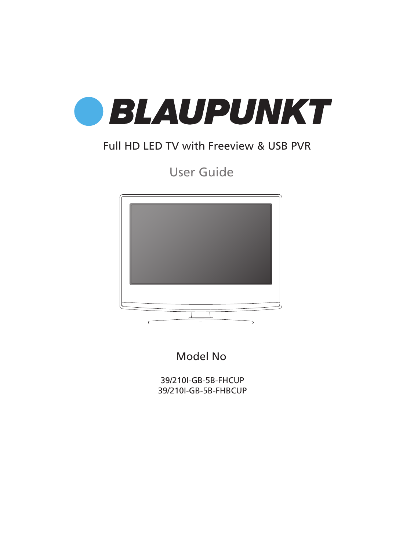

### Full HD LED TV with Freeview & USB PVR

User Guide



Model No

39/210I-GB-5B-FHCUP 39/210I-GB-5B-FHBCUP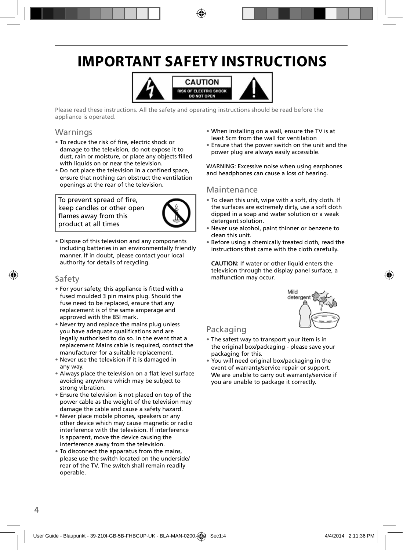### **IMPORTANT SAFETY INSTRUCTIONS**



Please read these instructions. All the safety and operating instructions should be read before the appliance is operated.

### Warnings

- To reduce the risk of fire, electric shock or damage to the television, do not expose it to dust, rain or moisture, or place any objects filled with liquids on or near the television.
- Do not place the television in a confined space, ensure that nothing can obstruct the ventilation openings at the rear of the television.

To prevent spread of fire, keep candles or other open flames away from this product at all times



• Dispose of this television and any components including batteries in an environmentally friendly manner. If in doubt, please contact your local authority for details of recycling.

### Safety

- For your safety, this appliance is fi tted with a fused moulded 3 pin mains plug. Should the fuse need to be replaced, ensure that any replacement is of the same amperage and approved with the BSI mark.
- Never try and replace the mains plug unless you have adequate qualifications and are legally authorised to do so. In the event that a replacement Mains cable is required, contact the manufacturer for a suitable replacement.
- Never use the television if it is damaged in any way.
- Always place the television on a flat level surface avoiding anywhere which may be subject to strong vibration.
- Ensure the television is not placed on top of the power cable as the weight of the television may damage the cable and cause a safety hazard.
- Never place mobile phones, speakers or any other device which may cause magnetic or radio interference with the television. If interference is apparent, move the device causing the interference away from the television.
- To disconnect the apparatus from the mains, please use the switch located on the underside/ rear of the TV. The switch shall remain readily operable.
- When installing on a wall, ensure the TV is at least 5cm from the wall for ventilation
- Ensure that the power switch on the unit and the power plug are always easily accessible.

WARNING: Excessive noise when using earphones and headphones can cause a loss of hearing.

#### Maintenance

- To clean this unit, wipe with a soft, dry cloth. If the surfaces are extremely dirty, use a soft cloth dipped in a soap and water solution or a weak detergent solution.
- Never use alcohol, paint thinner or benzene to clean this unit.
- Before using a chemically treated cloth, read the instructions that came with the cloth carefully.

**CAUTION:** If water or other liquid enters the television through the display panel surface, a malfunction may occur.



### Packaging

- The safest way to transport your item is in the original box/packaging - please save your packaging for this.
- You will need original box/packaging in the event of warranty/service repair or support. We are unable to carry out warranty/service if you are unable to package it correctly.

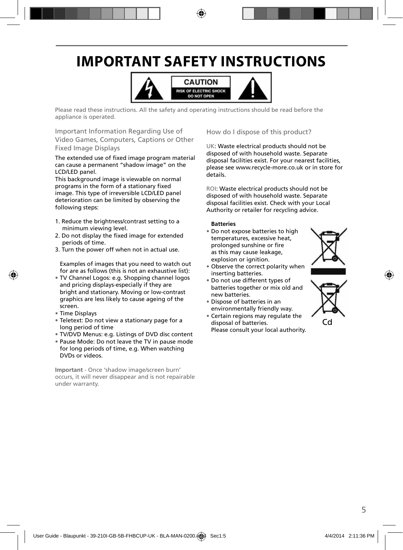### **IMPORTANT SAFETY INSTRUCTIONS**



Please read these instructions. All the safety and operating instructions should be read before the appliance is operated.

Important Information Regarding Use of Video Games, Computers, Captions or Other Fixed Image Displays

#### The extended use of fixed image program material can cause a permanent "shadow image" on the LCD/LED panel.

This background image is viewable on normal programs in the form of a stationary fixed image. This type of irreversible LCD/LED panel deterioration can be limited by observing the following steps:

- 1. Reduce the brightness/contrast setting to a minimum viewing level.
- 2. Do not display the fixed image for extended periods of time.
- 3. Turn the power off when not in actual use.

Examples of images that you need to watch out for are as follows (this is not an exhaustive list):

- TV Channel Logos: e.g. Shopping channel logos and pricing displays-especially if they are bright and stationary. Moving or low-contrast graphics are less likely to cause ageing of the screen.
- Time Displays
- Teletext: Do not view a stationary page for a long period of time
- TV/DVD Menus: e.g. Listings of DVD disc content
- Pause Mode: Do not leave the TV in pause mode for long periods of time, e.g. When watching DVDs or videos.

**Important** - Once 'shadow image/screen burn' occurs, it will never disappear and is not repairable under warranty.

How do I dispose of this product?

UK: Waste electrical products should not be disposed of with household waste. Separate disposal facilities exist. For your nearest facilities, please see www.recycle-more.co.uk or in store for details.

ROI: Waste electrical products should not be disposed of with household waste. Separate disposal facilities exist. Check with your Local Authority or retailer for recycling advice.

#### **Batteries**

- Do not expose batteries to high temperatures, excessive heat, prolonged sunshine or fire as this may cause leakage, explosion or ignition.
- Observe the correct polarity when inserting batteries.
- Do not use different types of batteries together or mix old and new batteries.
- Dispose of batteries in an environmentally friendly way.
- Certain regions may regulate the disposal of batteries.
- Please consult your local authority.



Cd

5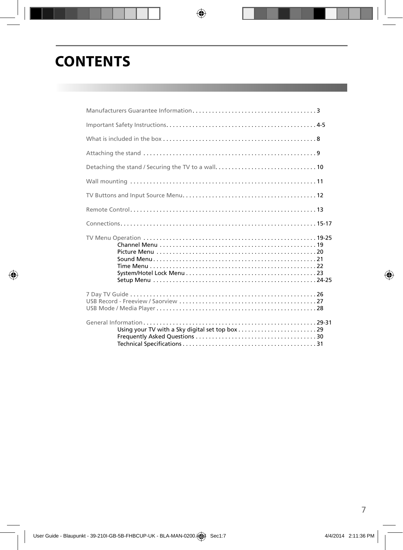# **CONTENTS**

 $\bigcirc$ 

| What is included in the box $\ldots$ $\ldots$ $\ldots$ $\ldots$ $\ldots$ $\ldots$ $\ldots$ $\ldots$ $\ldots$ $\ldots$ $\ldots$ $\ldots$ $\ldots$ $\ldots$ |  |
|-----------------------------------------------------------------------------------------------------------------------------------------------------------|--|
|                                                                                                                                                           |  |
|                                                                                                                                                           |  |
|                                                                                                                                                           |  |
|                                                                                                                                                           |  |
|                                                                                                                                                           |  |
|                                                                                                                                                           |  |
|                                                                                                                                                           |  |
|                                                                                                                                                           |  |
|                                                                                                                                                           |  |

 $\bigoplus$ 

7

 $\bigoplus$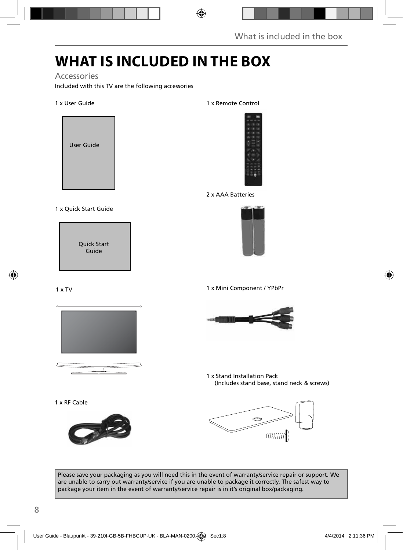# **WHAT IS INCLUDED IN THE BOX**

◈

### Accessories

Included with this TV are the following accessories

### 1 x User Guide



1 x Quick Start Guide



1 x TV



1 x RF Cable



1 x Remote Control



2 x AAA Batteries



1 x Mini Component / YPbPr



1 x Stand Installation Pack (Includes stand base, stand neck & screws)



Please save your packaging as you will need this in the event of warranty/service repair or support. We are unable to carry out warranty/service if you are unable to package it correctly. The safest way to package your item in the event of warranty/service repair is in it's original box/packaging.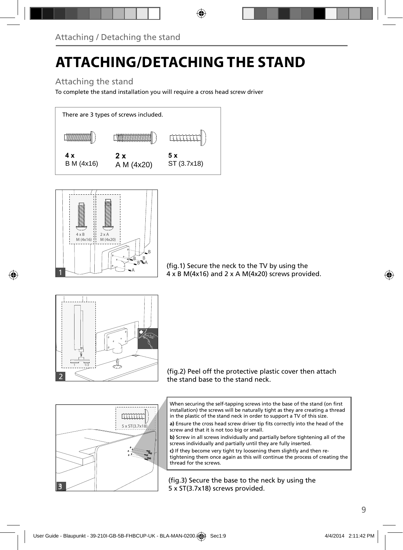# **ATTACHING/DETACHING THE STAND**

⊕

Attaching the stand

To complete the stand installation you will require a cross head screw driver





⊕

(fig.1) Secure the neck to the TV by using the 4 x B M(4x16) and 2 x A M(4x20) screws provided.



(fig.2) Peel off the protective plastic cover then attach the stand base to the stand neck.



When securing the self-tapping screws into the base of the stand (on first installation) the screws will be naturally tight as they are creating a thread in the plastic of the stand neck in order to support a TV of this size.

a) Ensure the cross head screw driver tip fits correctly into the head of the screw and that it is not too big or small.

**b)** Screw in all screws individually and partially before tightening all of the screws individually and partially until they are fully inserted.

**c)** If they become very tight try loosening them slightly and then retightening them once again as this will continue the process of creating the thread for the screws.

(fig.3) Secure the base to the neck by using the 5 x ST(3.7x18) screws provided.

♠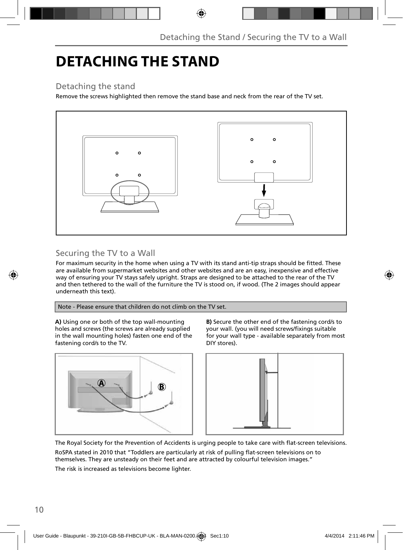# **DETACHING THE STAND**

Detaching the stand

Remove the screws highlighted then remove the stand base and neck from the rear of the TV set.

◈



### Securing the TV to a Wall

For maximum security in the home when using a TV with its stand anti-tip straps should be fitted. These are available from supermarket websites and other websites and are an easy, inexpensive and effective way of ensuring your TV stays safely upright. Straps are designed to be attached to the rear of the TV and then tethered to the wall of the furniture the TV is stood on, if wood. (The 2 images should appear underneath this text).

Note - Please ensure that children do not climb on the TV set.

**A)** Using one or both of the top wall-mounting holes and screws (the screws are already supplied in the wall mounting holes) fasten one end of the fastening cord/s to the TV.



**B)** Secure the other end of the fastening cord/s to your wall. (you will need screws/fixings suitable for your wall type - available separately from most DIY stores).



The Royal Society for the Prevention of Accidents is urging people to take care with flat-screen televisions. RoSPA stated in 2010 that "Toddlers are particularly at risk of pulling flat-screen televisions on to themselves. They are unsteady on their feet and are attracted by colourful television images." The risk is increased as televisions become lighter.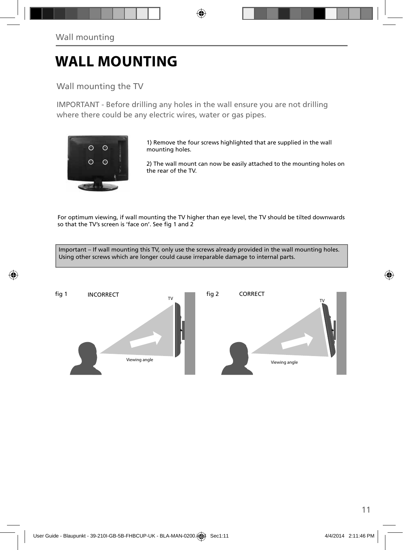# **WALL MOUNTING**

Wall mounting the TV

IMPORTANT - Before drilling any holes in the wall ensure you are not drilling where there could be any electric wires, water or gas pipes.

⊕



⊕

1) Remove the four screws highlighted that are supplied in the wall mounting holes.

2) The wall mount can now be easily attached to the mounting holes on the rear of the TV.

For optimum viewing, if wall mounting the TV higher than eye level, the TV should be tilted downwards so that the TV's screen is 'face on'. See fig 1 and 2

Important – If wall mounting this TV, only use the screws already provided in the wall mounting holes. Using other screws which are longer could cause irreparable damage to internal parts.



⊕

11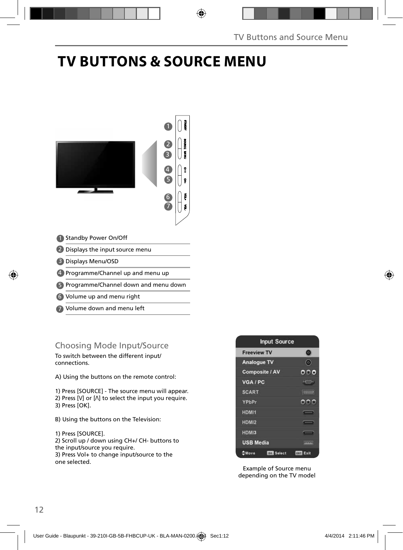# **TV BUTTONS & SOURCE MENU**

◈



- Standby Power On/Off 1
- 2 Displays the input source menu
- Displays Menu/OSD 3
- 4 Programme/Channel up and menu up
- Programme/Channel down and menu down 5
- Volume up and menu right 6
- Volume down and menu left 7

### Choosing Mode Input/Source

To switch between the different input/ connections.

A) Using the buttons on the remote control:

1) Press [SOURCE] - The source menu will appear. 2) Press  $[V]$  or  $[\Lambda]$  to select the input you require. 3) Press [OK].

- B) Using the buttons on the Television:
- 1) Press [SOURCE]. 2) Scroll up / down using CH+/ CH- buttons to the input/source you require. 3) Press Vol+ to change input/source to the

one selected.

| <b>Input Source</b>              |                    |
|----------------------------------|--------------------|
| <b>Freeview TV</b>               | o                  |
| <b>Analogue TV</b>               | $\left( 0 \right)$ |
| <b>Composite / AV</b>            | .                  |
| VGA / PC                         | $o \equiv$ ald     |
| <b>SCART</b>                     | <b>Williams</b>    |
| YPbPr                            |                    |
| HDMI1                            |                    |
| HDMI2                            | _                  |
| HDMI3                            | _                  |
| <b>USB Media</b>                 | <b>TYPE</b>        |
| <b>Or Select</b><br><b>CMove</b> | <b>EUR Exit</b>    |

Example of Source menu depending on the TV model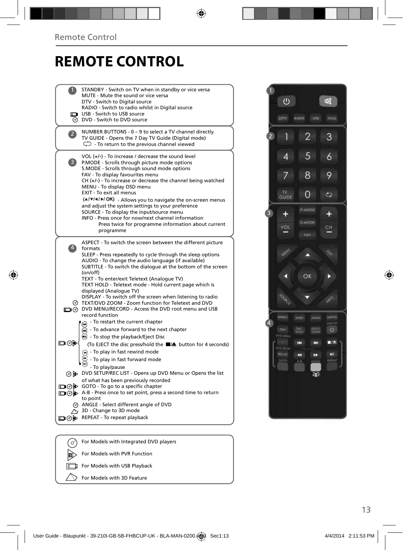◈

# **REMOTE CONTROL**

 $\bigoplus$ 

|     | STANDBY - Switch on TV when in standby or vice versa<br>MUTE - Mute the sound or vice versa<br>DTV - Switch to Digital source<br>RADIO - Switch to radio whilst in Digital source                                                                                                                                  |
|-----|--------------------------------------------------------------------------------------------------------------------------------------------------------------------------------------------------------------------------------------------------------------------------------------------------------------------|
|     | USB - Switch to USB source<br>O DVD - Switch to DVD source                                                                                                                                                                                                                                                         |
|     | NUMBER BUTTONS - 0 - 9 to select a TV channel directly.<br>TV GUIDE - Opens the 7 Day TV Guide (Digital mode)<br>$\mathbb{C}$ To return to the previous channel viewed                                                                                                                                             |
| 3)  | VOL (+/-) - To increase / decrease the sound level<br>P.MODE - Scrolls through picture mode options<br>S.MODE - Scrolls through sound mode options<br>FAV - To display favourites menu<br>$CH (+/-)$ - To increase or decrease the channel being watched<br>MENU - To display OSD menu<br>EXIT - To exit all menus |
|     | (A/V/4/M/OK) - Allows you to navigate the on-screen menus<br>and adjust the system settings to your preference<br>SOURCE - To display the input/source menu<br>INFO - Press once for now/next channel information<br>Press twice for programme information about current<br>programme                              |
|     | ASPECT - To switch the screen between the different picture<br>formats<br>SLEEP - Press repeatedly to cycle through the sleep options<br>AUDIO - To change the audio language (if available)<br>SUBTITLE - To switch the dialoque at the bottom of the screen<br>(on/off)                                          |
|     | TEXT - To enter/exit Teletext (Analogue TV)<br>TEXT HOLD - Teletext mode - Hold current page which is<br>displayed (Analogue TV)<br>DISPLAY - To switch off the screen when listening to radio<br>TEXT/DVD ZOOM - Zoom function for Teletext and DVD<br>O DVD MENU/RECORD - Access the DVD root menu and USB       |
|     | record function<br>- To restart the current chapter<br>$\widetilde{m}$ - To advance forward to the next chapter<br>$\odot$ - To stop the playback/Eject Disc                                                                                                                                                       |
| య⊚⊡ | (To EJECT the disc press/hold the ■/▲ button for 4 seconds)<br>$\frac{1}{2}$ - To play in fast rewind mode<br>- To play in fast forward mode<br>- To play/pause                                                                                                                                                    |
|     | o b> DVD SETUP/REC LIST - Opens up DVD Menu or Opens the list<br>of what has been previously recorded<br>□ ⊙ iD GOTO - To go to a specific chapter                                                                                                                                                                 |
|     | A-B - Press once to set point, press a second time to return<br>to point<br>@ ANGLE - Select different angle of DVD                                                                                                                                                                                                |
|     | $\sim$ 3D - Change to 3D mode<br>□ ⊙ iD REPEAT - To repeat playback                                                                                                                                                                                                                                                |
|     |                                                                                                                                                                                                                                                                                                                    |



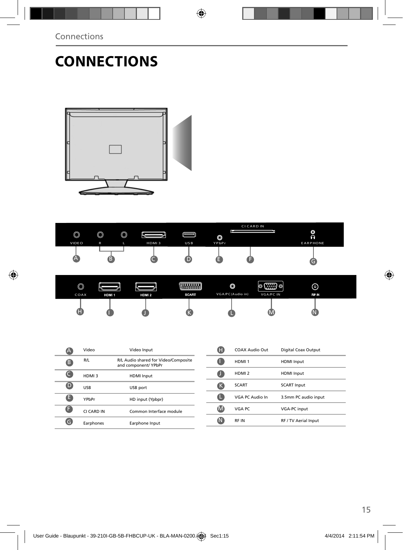Connections

 $\bigcirc$ 

# **CONNECTIONS**





◈

| $\circledcirc$<br>COAX | HDM <sub>1</sub> | HDM <sub>2</sub> | - 2000000 -<br>SCART | O<br>VGA/PC(Audio in) | $\circ$ (::::) $\circ$<br><b>VGA/PC IN</b> | $\odot$<br>RF IN |  |
|------------------------|------------------|------------------|----------------------|-----------------------|--------------------------------------------|------------------|--|
| W                      |                  |                  |                      |                       | W                                          |                  |  |

|   | Video       | Video Input                                                  |
|---|-------------|--------------------------------------------------------------|
| G | R/L         | R/L Audio shared for Video/Composite<br>and component/ YPbPr |
|   | HDMI3       | <b>HDMI</b> Input                                            |
| D | <b>LISR</b> | USB port                                                     |
| н | YPhPr       | HD input (Ypbpr)                                             |
| Ħ | CI CARD IN  | Common Interface module                                      |
|   | Earphones   | Earphone Input                                               |

| H            | COAX Audio Out    | Digital Coax Output         |
|--------------|-------------------|-----------------------------|
|              | HDMI <sub>1</sub> | <b>HDMI</b> Input           |
|              | HDMI <sub>2</sub> | <b>HDMI</b> Input           |
| ĸ            | <b>SCART</b>      | <b>SCART Input</b>          |
|              | VGA PC Audio In   | 3.5mm PC audio input        |
| $\mathbf{N}$ | VGA PC            | <b>VGA-PC input</b>         |
|              | <b>RFIN</b>       | <b>RF / TV Aerial Input</b> |

 $\bigcirc$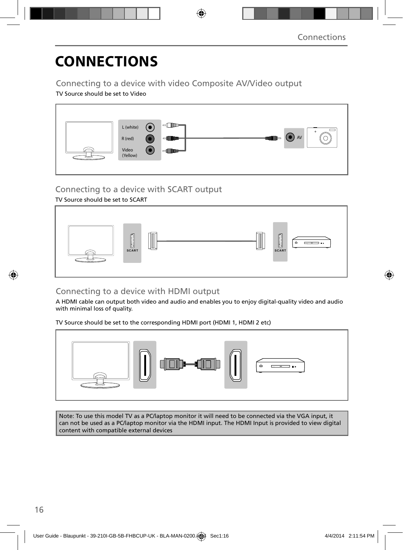# **CONNECTIONS**

Connecting to a device with video Composite AV/Video output TV Source should be set to Video



⊕

### Connecting to a device with SCART output

TV Source should be set to SCART



### ◈

### Connecting to a device with HDMI output

A HDMI cable can output both video and audio and enables you to enjoy digital-quality video and audio with minimal loss of quality.

TV Source should be set to the corresponding HDMI port (HDMI 1, HDMI 2 etc)



Note: To use this model TV as a PC/laptop monitor it will need to be connected via the VGA input, it can not be used as a PC/laptop monitor via the HDMI input. The HDMI Input is provided to view digital content with compatible external devices

 $\langle \spadesuit \rangle$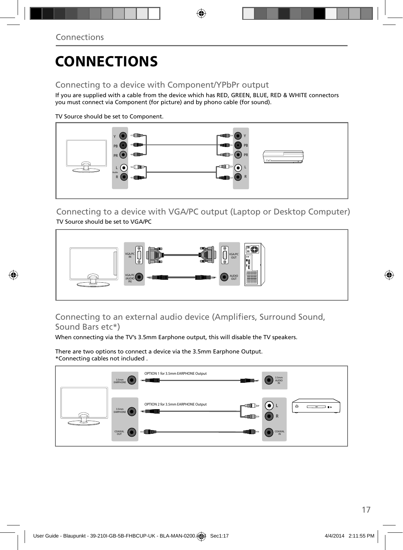# **CONNECTIONS**

### Connecting to a device with Component/YPbPr output

If you are supplied with a cable from the device which has RED, GREEN, BLUE, RED & WHITE connectors you must connect via Component (for picture) and by phono cable (for sound).

◈

TV Source should be set to Component.



Connecting to a device with VGA/PC output (Laptop or Desktop Computer) TV Source should be set to VGA/PC



### Connecting to an external audio device (Amplifiers, Surround Sound, Sound Bars etc\*)

When connecting via the TV's 3.5mm Earphone output, this will disable the TV speakers.

There are two options to connect a device via the 3.5mm Earphone Output. \*Connecting cables not included .



♠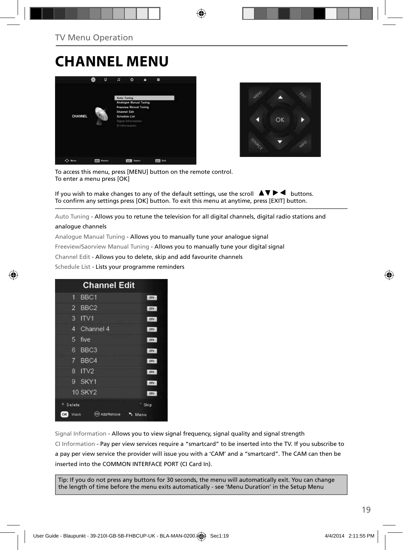# **CHANNEL MENU**





To access this menu, press [MENU] button on the remote control. To enter a menu press [OK]

If you wish to make changes to any of the default settings, use the scroll  $\blacktriangle \blacktriangledown \blacktriangleright \blacktriangleleft$  buttons. To confirm any settings press [OK] button. To exit this menu at anytime, press [EXIT] button.

Auto Tuning - Allows you to retune the television for all digital channels, digital radio stations and

#### analogue channels

Analogue Manual Tuning - Allows you to manually tune your analogue signal Freeview/Saorview Manual Tuning - Allows you to manually tune your digital signal Channel Edit - Allows you to delete, skip and add favourite channels Schedule List - Lists your programme reminders



Signal Information - Allows you to view signal frequency, signal quality and signal strength CI Information - Pay per view services require a "smartcard" to be inserted into the TV. If you subscribe to a pay per view service the provider will issue you with a 'CAM' and a "smartcard". The CAM can then be inserted into the COMMON INTERFACE PORT (CI Card In).

Tip: If you do not press any buttons for 30 seconds, the menu will automatically exit. You can change the length of time before the menu exits automatically - see 'Menu Duration' in the Setup Menu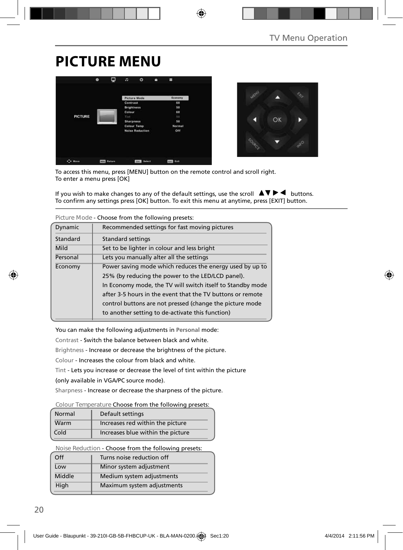### **PICTURE MENU**





To access this menu, press [MENU] button on the remote control and scroll right. To enter a menu press [OK]

If you wish to make changes to any of the default settings, use the scroll  $\Box \blacktriangledown \blacktriangleright \blacktriangleleft$  buttons. To confirm any settings press [OK] button. To exit this menu at anytime, press [EXIT] button.

⊕

|          | Picture Mode - Choose from the following presets:          |  |  |
|----------|------------------------------------------------------------|--|--|
| Dynamic  | Recommended settings for fast moving pictures              |  |  |
| Standard | <b>Standard settings</b>                                   |  |  |
| Mild     | Set to be lighter in colour and less bright                |  |  |
| Personal | Lets you manually alter all the settings                   |  |  |
| Economy  | Power saving mode which reduces the energy used by up to   |  |  |
|          | 25% (by reducing the power to the LED/LCD panel).          |  |  |
|          | In Economy mode, the TV will switch itself to Standby mode |  |  |
|          | after 3-5 hours in the event that the TV buttons or remote |  |  |
|          | control buttons are not pressed (change the picture mode   |  |  |
|          | to another setting to de-activate this function)           |  |  |
|          |                                                            |  |  |

You can make the following adjustments in **Personal** mode:

Contrast - Switch the balance between black and white.

Brightness - Increase or decrease the brightness of the picture.

Colour - Increases the colour from black and white.

Tint - Lets you increase or decrease the level of tint within the picture

(only available in VGA/PC source mode).

Sharpness - Increase or decrease the sharpness of the picture.

**Colour Temperature** Choose from the following presets:

| Normal | Default settings                  |
|--------|-----------------------------------|
| Warm   | Increases red within the picture  |
| Cold   | Increases blue within the picture |

**Noise Reduction** - Choose from the following presets:

| Off    | Turns noise reduction off  |
|--------|----------------------------|
| Low    | Minor system adjustment    |
| Middle | Medium system adjustments  |
| High   | Maximum system adjustments |
|        |                            |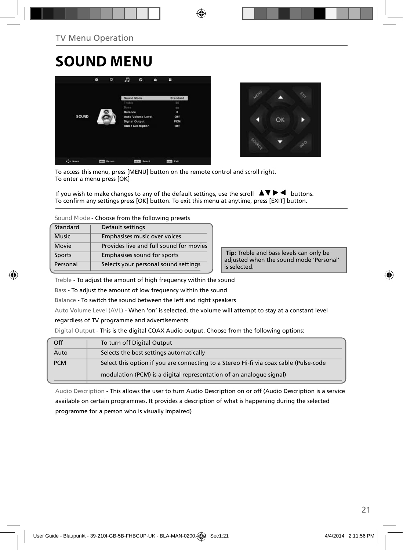# **SOUND MENU**





To access this menu, press [MENU] button on the remote control and scroll right. To enter a menu press [OK]

If you wish to make changes to any of the default settings, use the scroll  $\blacktriangle \blacktriangledown \blacktriangleright \blacktriangleleft$  buttons. To confirm any settings press [OK] button. To exit this menu at anytime, press [EXIT] button.

**Sound Mode** - Choose from the following presets

| Standard     | Default settings                        |
|--------------|-----------------------------------------|
| <b>Music</b> | Emphasises music over voices            |
| Movie        | Provides live and full sound for movies |
| Sports       | Emphasises sound for sports             |
| Personal     | Selects your personal sound settings    |

 **Tip:** Treble and bass levels can only be adjusted when the sound mode 'Personal' is selected.

Treble - To adjust the amount of high frequency within the sound

Bass - To adjust the amount of low frequency within the sound

Balance - To switch the sound between the left and right speakers

Auto Volume Level (AVL) - When 'on' is selected, the volume will attempt to stay at a constant level

#### regardless of TV programme and advertisements

Digital Output - This is the digital COAX Audio output. Choose from the following options:

| Off        | To turn off Digital Output                                                            |
|------------|---------------------------------------------------------------------------------------|
| Auto       | Selects the best settings automatically                                               |
| <b>PCM</b> | Select this option if you are connecting to a Stereo Hi-fi via coax cable (Pulse-code |
|            | modulation (PCM) is a digital representation of an analogue signal)                   |

Audio Description - This allows the user to turn Audio Description on or off (Audio Description is a service available on certain programmes. It provides a description of what is happening during the selected programme for a person who is visually impaired)

21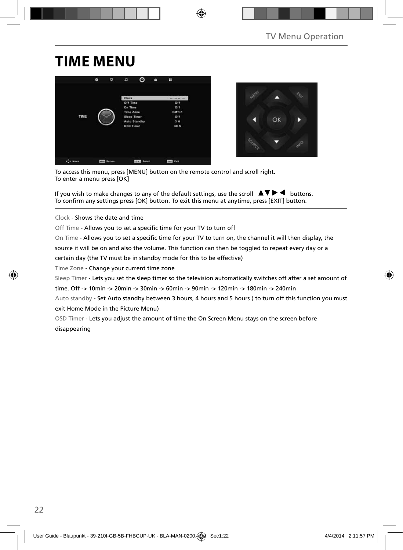### **TIME MENU**





To access this menu, press [MENU] button on the remote control and scroll right. To enter a menu press [OK]

If you wish to make changes to any of the default settings, use the scroll  $\Box \blacktriangledown \blacktriangleright \blacktriangleleft$  buttons. To confirm any settings press [OK] button. To exit this menu at anytime, press [EXIT] button.

Clock - Shows the date and time

Off Time - Allows you to set a specific time for your TV to turn off

On Time - Allows you to set a specific time for your TV to turn on, the channel it will then display, the source it will be on and also the volume. This function can then be toggled to repeat every day or a certain day (the TV must be in standby mode for this to be effective)

Time Zone - Change your current time zone

Sleep Timer - Lets you set the sleep timer so the television automatically switches off after a set amount of time. Off -> 10min -> 20min -> 30min -> 60min -> 90min -> 120min -> 180min -> 240min

Auto standby - Set Auto standby between 3 hours, 4 hours and 5 hours ( to turn off this function you must exit Home Mode in the Picture Menu)

OSD Timer - Lets you adjust the amount of time the On Screen Menu stays on the screen before disappearing

⇔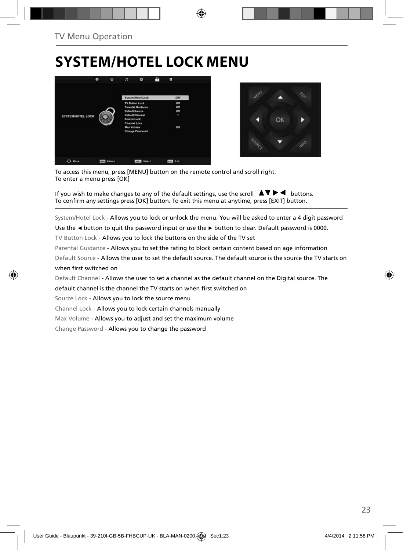### **SYSTEM/HOTEL LOCK MENU**





To access this menu, press [MENU] button on the remote control and scroll right. To enter a menu press [OK]

If you wish to make changes to any of the default settings, use the scroll  $\blacktriangle \blacktriangledown \blacktriangleright \blacktriangleleft$  buttons. To confirm any settings press [OK] button. To exit this menu at anytime, press [EXIT] button.

System/Hotel Lock - Allows you to lock or unlock the menu. You will be asked to enter a 4 digit password

Use the **◄** button to quit the password input or use the **►** button to clear. Default password is 0000.

TV Button Lock - Allows you to lock the buttons on the side of the TV set

Parental Guidance - Allows you to set the rating to block certain content based on age information

Default Source - Allows the user to set the default source. The default source is the source the TV starts on when first switched on

Default Channel - Allows the user to set a channel as the default channel on the Digital source. The default channel is the channel the TV starts on when first switched on Source Lock - Allows you to lock the source menu

Channel Lock - Allows you to lock certain channels manually

Max Volume - Allows you to adjust and set the maximum volume

Change Password - Allows you to change the password

⇔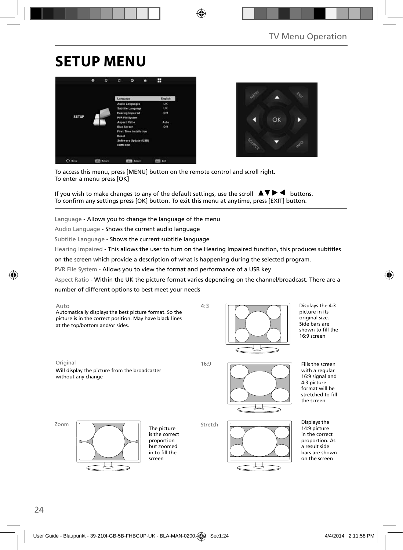### **SETUP MENU**





To access this menu, press [MENU] button on the remote control and scroll right. To enter a menu press [OK]

If you wish to make changes to any of the default settings, use the scroll  $\blacktriangle \blacktriangledown \blacktriangleright \blacktriangleleft$  buttons. To confirm any settings press [OK] button. To exit this menu at anytime, press [EXIT] button.

Language - Allows you to change the language of the menu

Audio Language - Shows the current audio language

Subtitle Language - Shows the current subtitle language

Hearing Impaired - This allows the user to turn on the Hearing Impaired function, this produces subtitles

◈

on the screen which provide a description of what is happening during the selected program.

PVR File System - Allows you to view the format and performance of a USB key

Aspect Ratio - Within the UK the picture format varies depending on the channel/broadcast. There are a

number of different options to best meet your needs

Auto Automatically displays the best picture format. So the picture is in the correct position. May have black lines at the top/bottom and/or sides.



Displays the 4:3 picture in its original size. Side bars are shown to fill the 16:9 screen

⊕

Original 16:9 Will display the picture from the broadcaster without any change

4:3

Stretch



Fills the screen with a regular 16:9 signal and 4:3 picture format will be stretched to fill the screen

Zoom



The picture is the correct proportion but zoomed in to fill the screen



Displays the 14:9 picture in the correct proportion. As a result side bars are shown on the screen

⇔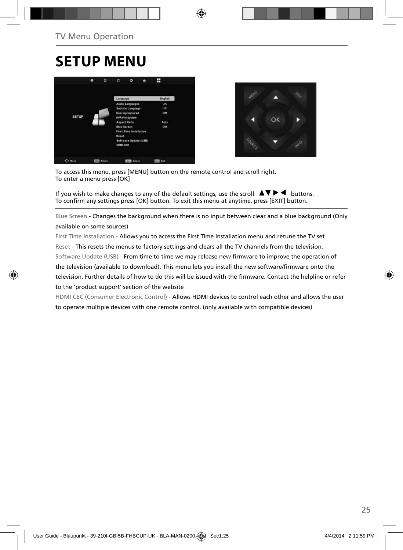### **SETUP MENU**





To access this menu, press [MENU] button on the remote control and scroll right. To enter a menu press [OK]

If you wish to make changes to any of the default settings, use the scroll  $\Box \blacktriangledown \blacktriangleright \blacktriangleleft$  buttons. To confirm any settings press [OK] button. To exit this menu at anytime, press [EXIT] button.

Blue Screen - Changes the background when there is no input between clear and a blue background (Only available on some sources)

First Time Installation - Allows you to access the First Time Installation menu and retune the TV set Reset - This resets the menus to factory settings and clears all the TV channels from the television. Software Update (USB) - From time to time we may release new firmware to improve the operation of the television (available to download). This menu lets you install the new software/firmware onto the television. Further details of how to do this will be issued with the firmware. Contact the helpline or refer to the 'product support' section of the website

HDMI CEC (Consumer Electronic Control) - Allows HDMI devices to control each other and allows the user to operate multiple devices with one remote control. (only available with compatible devices)



25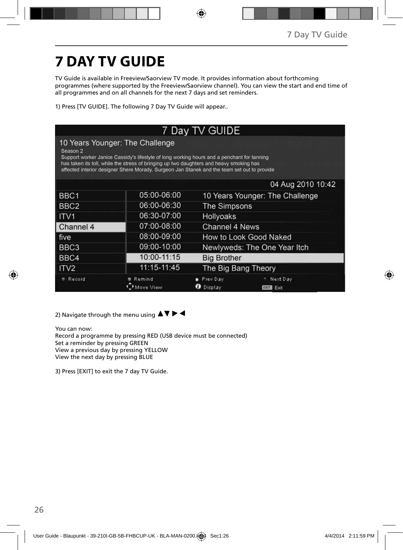# **7 DAY TV GUIDE**

TV Guide is available in Freeview/Saorview TV mode. It provides information about forthcoming programmes (where supported by the Freeview/Saorview channel). You can view the start and end time of all programmes and on all channels for the next 7 days and set reminders.

1) Press [TV GUIDE]. The following 7 Day TV Guide will appear..

#### 7 Day TV GUIDE 10 Years Younger: The Challenge Season 2 Support worker Janice Cassidy's lifestyle of long working hours and a penchant for tanning has taken its toll, while the stress of bringing up two daughters and heavy smoking has affected interior designer Shere Morady. Surgeon Jan Stanek and the team set out to provide 04 Aug 2010 10:42 BBC1 05:00-06:00 10 Years Younger: The Challenge 06:00-06:30 BBC<sub>2</sub> The Simpsons 06:30-07:00 ITV<sub>1</sub> Hollyoaks Channel 4 07:00-08:00 **Channel 4 News** How to Look Good Naked five 08:00-09:00 BBC<sub>3</sub> 09:00-10:00 Newlyweds: The One Year Itch 10:00-11:15 BBC4 **Big Brother** 11:15-11:45 The Big Bang Theory ITV2 # Record **Remind** · Prev Day - Next Day Move View **O** Display **EXIT** Exit

2) Navigate through the menu using  $\blacktriangle \blacktriangledown \blacktriangleright \blacktriangleleft$ 

You can now:

Record a programme by pressing RED (USB device must be connected) Set a reminder by pressing GREEN View a previous day by pressing YELLOW View the next day by pressing BLUE

3) Press [EXIT] to exit the 7 day TV Guide.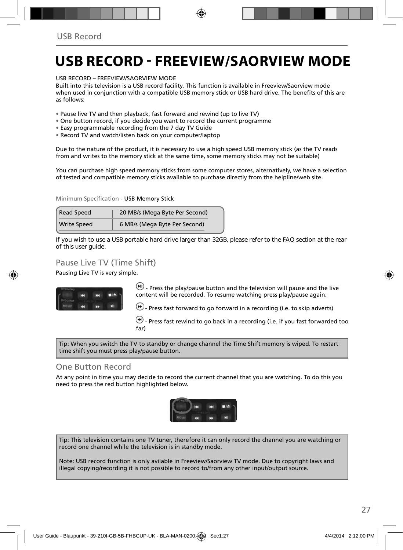### **USB RECORD - FREEVIEW/SAORVIEW MODE**

USB RECORD – FREEVIEW/SAORVIEW MODE

Built into this television is a USB record facility. This function is available in Freeview/Saorview mode when used in conjunction with a compatible USB memory stick or USB hard drive. The benefits of this are as follows:

- Pause live TV and then playback, fast forward and rewind (up to live TV)
- One button record, if you decide you want to record the current programme
- Easy programmable recording from the 7 day TV Guide
- Record TV and watch/listen back on your computer/laptop

Due to the nature of the product, it is necessary to use a high speed USB memory stick (as the TV reads from and writes to the memory stick at the same time, some memory sticks may not be suitable)

You can purchase high speed memory sticks from some computer stores, alternatively, we have a selection of tested and compatible memory sticks available to purchase directly from the helpline/web site.

Minimum Specification - USB Memory Stick

| Read Speed         | 20 MB/s (Mega Byte Per Second) |
|--------------------|--------------------------------|
| <b>Write Speed</b> | 6 MB/s (Mega Byte Per Second)  |

**If you wish to use a USB portable hard drive larger than 32GB, please refer to the FAQ section at the rear of this user guide.**

### Pause Live TV (Time Shift)

Pausing Live TV is very simple.



 $(W)$  - Press the play/pause button and the television will pause and the live content will be recorded. To resume watching press play/pause again.

 $\bigoplus$  - Press fast forward to go forward in a recording (i.e. to skip adverts)

 $\bigcirc$  - Press fast rewind to go back in a recording (i.e. if you fast forwarded too far)

Tip: When you switch the TV to standby or change channel the Time Shift memory is wiped. To restart time shift you must press play/pause button.

#### One Button Record

At any point in time you may decide to record the current channel that you are watching. To do this you need to press the red button highlighted below.



Tip: This television contains one TV tuner, therefore it can only record the channel you are watching or record one channel while the television is in standby mode.

Note: USB record function is only avilable in Freeview/Saorview TV mode. Due to copyright laws and illegal copying/recording it is not possible to record to/from any other input/output source.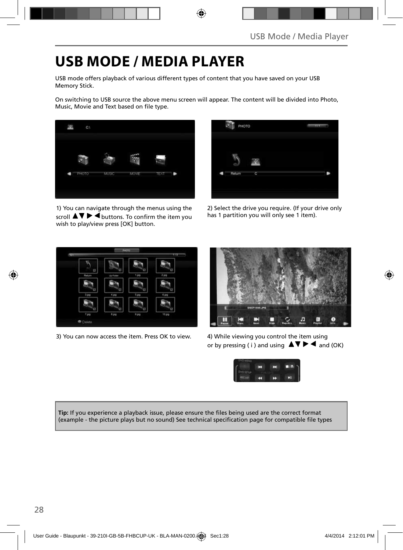### **USB MODE / MEDIA PLAYER**

USB mode offers playback of various different types of content that you have saved on your USB Memory Stick.

On switching to USB source the above menu screen will appear. The content will be divided into Photo, Music, Movie and Text based on file type.



1) You can navigate through the menus using the scroll  $\blacktriangle\blacktriangledown\blacktriangleright\blacktriangleleft$  buttons. To confirm the item you wish to play/view press [OK] button.



2) Select the drive you require. (If your drive only has 1 partition you will only see 1 item).



3) You can now access the item. Press OK to view. 4) While viewing you control the item using



or by pressing (i) and using  $\Delta \nabla \blacktriangleright$   $\blacktriangleleft$  and (OK)



**Tip:** If you experience a playback issue, please ensure the files being used are the correct format (example - the picture plays but no sound) See technical specification page for compatible file types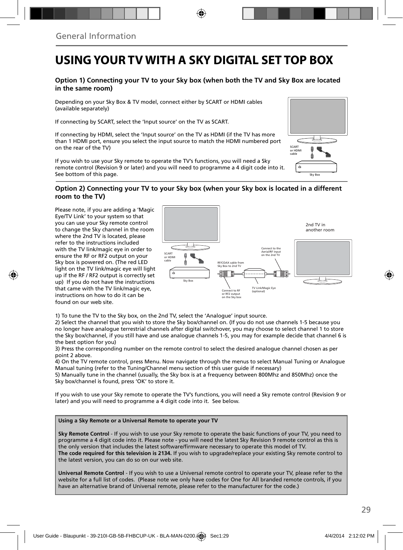### **USING YOUR TV WITH A SKY DIGITAL SET TOP BOX**

#### **Option 1) Connecting your TV to your Sky box (when both the TV and Sky Box are located in the same room)**

Depending on your Sky Box & TV model, connect either by SCART or HDMI cables (available separately)

If connecting by SCART, select the 'Input source' on the TV as SCART.

If connecting by HDMI, select the 'Input source' on the TV as HDMI (if the TV has more than 1 HDMI port, ensure you select the input source to match the HDMI numbered port on the rear of the TV)

If you wish to use your Sky remote to operate the TV's functions, you will need a Sky remote control (Revision 9 or later) and you will need to programme a 4 digit code into it. See bottom of this page.

#### **Option 2) Connecting your TV to your Sky box (when your Sky box is located in a different room to the TV)**

Please note, if you are adding a 'Magic Eye/TV Link' to your system so that you can use your Sky remote control to change the Sky channel in the room where the 2nd TV is located, please refer to the instructions included with the TV link/magic eye in order to ensure the RF or RF2 output on your Sky box is powered on. (The red LED light on the TV link/magic eye will light up if the RF / RF2 output is correctly set up) If you do not have the instructions that came with the TV link/magic eye, instructions on how to do it can be found on our web site.



1) To tune the TV to the Sky box, on the 2nd TV, select the 'Analogue' input source.

2) Select the channel that you wish to store the Sky box/channel on. (If you do not use channels 1-5 because you no longer have analogue terrestrial channels after digital switchover, you may choose to select channel 1 to store the Sky box/channel, if you still have and use analogue channels 1-5, you may for example decide that channel 6 is the best option for you)

3) Press the corresponding number on the remote control to select the desired analogue channel chosen as per point 2 above.

4) On the TV remote control, press Menu. Now navigate through the menus to select Manual Tuning or Analogue Manual tuning (refer to the Tuning/Channel menu section of this user guide if necessary)

5) Manually tune in the channel (usually, the Sky box is at a frequency between 800Mhz and 850Mhz) once the Sky box/channel is found, press 'OK' to store it.

If you wish to use your Sky remote to operate the TV's functions, you will need a Sky remote control (Revision 9 or later) and you will need to programme a 4 digit code into it. See below.

#### **Using a Sky Remote or a Universal Remote to operate your TV**

**Sky Remote Control** - If you wish to use your Sky remote to operate the basic functions of your TV, you need to programme a 4 digit code into it. Please note - you will need the latest Sky Revision 9 remote control as this is the only version that includes the latest software/firmware necessary to operate this model of TV. **The code required for this television is 2134.** If you wish to upgrade/replace your existing Sky remote control to the latest version, you can do so on our web site.

**Universal Remote Control** - If you wish to use a Universal remote control to operate your TV, please refer to the website for a full list of codes. (Please note we only have codes for One for All branded remote controls, if you have an alternative brand of Universal remote, please refer to the manufacturer for the code.)

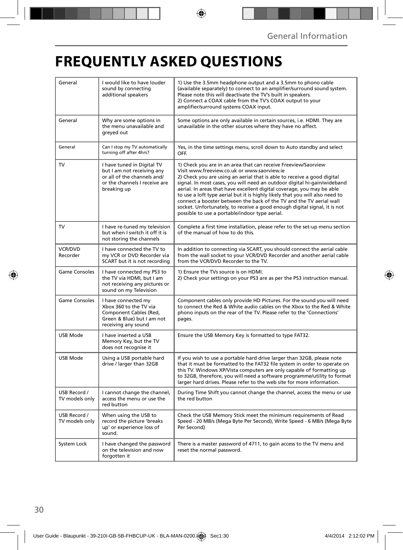# **FREQUENTLY ASKED QUESTIONS**

◈

| General                        | I would like to have louder<br>sound by connecting<br>additional speakers                                                               | 1) Use the 3.5mm headphone output and a 3.5mm to phono cable<br>(available separately) to connect to an amplifier/surround sound system.<br>Please note this will deactivate the TV's built in speakers.<br>2) Connect a COAX cable from the TV's COAX output to your<br>amplifier/surround systems COAX input.                                                                                                                                                                                                                                                                                                                      |  |
|--------------------------------|-----------------------------------------------------------------------------------------------------------------------------------------|--------------------------------------------------------------------------------------------------------------------------------------------------------------------------------------------------------------------------------------------------------------------------------------------------------------------------------------------------------------------------------------------------------------------------------------------------------------------------------------------------------------------------------------------------------------------------------------------------------------------------------------|--|
| General                        | Why are some options in<br>the menu unavailable and<br>greyed out                                                                       | Some options are only available in certain sources, i.e. HDMI. They are<br>unavailable in the other sources where they have no affect.                                                                                                                                                                                                                                                                                                                                                                                                                                                                                               |  |
| General                        | Can I stop my TV automatically<br>turning off after 4hrs?                                                                               | Yes, in the time settings menu, scroll down to Auto standby and select<br>OFF.                                                                                                                                                                                                                                                                                                                                                                                                                                                                                                                                                       |  |
| TV                             | I have tuned in Digital TV<br>but I am not receiving any<br>or all of the channels and/<br>or the channels I receive are<br>breaking up | 1) Check you are in an area that can receive Freeview/Saorview<br>Visit www.freeview.co.uk or www.saorview.ie<br>2) Check you are using an aerial that is able to receive a good digital<br>signal. In most cases, you will need an outdoor digital hi-gain/wideband<br>aerial. In areas that have excellent digital coverage, you may be able<br>to use a loft type aerial but it is highly likely that you will also need to<br>connect a booster between the back of the TV and the TV aerial wall<br>socket. Unfortunately, to receive a good enough digital signal, it is not<br>possible to use a portable/indoor type aerial. |  |
| <b>TV</b>                      | I have re-tuned my television<br>but when I switch it off it is<br>not storing the channels                                             | Complete a first time installation, please refer to the set-up menu section<br>of the manual of how to do this.                                                                                                                                                                                                                                                                                                                                                                                                                                                                                                                      |  |
| VCR/DVD<br>Recorder            | I have connected the TV to<br>my VCR or DVD Recorder via<br>SCART but it is not recording                                               | In addition to connecting via SCART, you should connect the aerial cable<br>from the wall socket to your VCR/DVD Recorder and another aerial cable<br>from the VCR/DVD Recorder to the TV.                                                                                                                                                                                                                                                                                                                                                                                                                                           |  |
| <b>Game Consoles</b>           | I have connected my PS3 to<br>the TV via HDMI, but I am<br>not receiving any pictures or<br>sound on my Television                      | 1) Ensure the TVs source is on HDMI.<br>2) Check your settings on your PS3 are as per the PS3 instruction manual.                                                                                                                                                                                                                                                                                                                                                                                                                                                                                                                    |  |
| Game Consoles                  | I have connected my<br>Xbox 360 to the TV via<br>Component Cables (Red,<br>Green & Blue) but I am not<br>receiving any sound            | Component cables only provide HD Pictures. For the sound you will need<br>to connect the Red & White audio cables on the Xbox to the Red & White<br>phono inputs on the rear of the TV. Please refer to the 'Connections'<br>pages.                                                                                                                                                                                                                                                                                                                                                                                                  |  |
| <b>USB Mode</b>                | I have inserted a USB<br>Memory Key, but the TV<br>does not recognise it                                                                | Ensure the USB Memory Key is formatted to type FAT32.                                                                                                                                                                                                                                                                                                                                                                                                                                                                                                                                                                                |  |
| USB Mode                       | Using a USB portable hard<br>drive / larger than 32GB                                                                                   | If you wish to use a portable hard drive larger than 32GB, please note<br>that it must be formatted to the FAT32 file system in order to operate on<br>this TV. Windows XP/Vista computers are only capable of formatting up<br>to 32GB, therefore, you will need a software programme/utility to format<br>larger hard drives. Please refer to the web site for more information.                                                                                                                                                                                                                                                   |  |
| USB Record /<br>TV models only | I cannot change the channel,<br>access the menu or use the<br>red button                                                                | During Time Shift you cannot change the channel, access the menu or use<br>the red button                                                                                                                                                                                                                                                                                                                                                                                                                                                                                                                                            |  |
| USB Record /<br>TV models only | When using the USB to<br>record the picture 'breaks<br>up' or experience loss of<br>sound.                                              | Check the USB Memory Stick meet the minimum requirements of Read<br>Speed - 20 MB/s (Mega Byte Per Second), Write Speed - 6 MB/s (Mega Byte<br>Per Second)                                                                                                                                                                                                                                                                                                                                                                                                                                                                           |  |
| System Lock                    | I have changed the password<br>on the television and now<br>forgotten it                                                                | There is a master password of 4711, to gain access to the TV menu and<br>reset the normal password.                                                                                                                                                                                                                                                                                                                                                                                                                                                                                                                                  |  |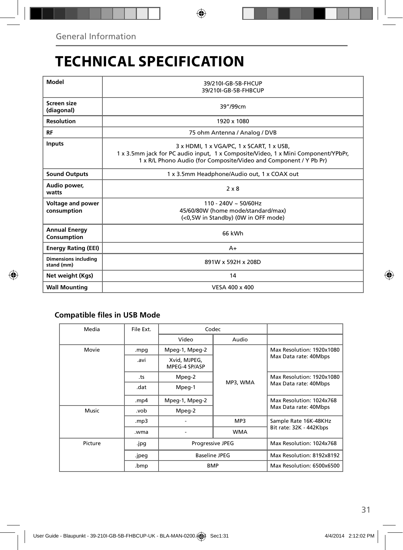# **TECHNICAL SPECIFICATION**

| Model                                     | 39/210I-GB-5B-FHCUP<br>39/210I-GB-5B-FHBCUP                                                                                                                                                         |  |  |  |
|-------------------------------------------|-----------------------------------------------------------------------------------------------------------------------------------------------------------------------------------------------------|--|--|--|
| Screen size<br>(diagonal)                 | 39"/99cm                                                                                                                                                                                            |  |  |  |
| <b>Resolution</b>                         | 1920 x 1080                                                                                                                                                                                         |  |  |  |
| <b>RF</b>                                 | 75 ohm Antenna / Analog / DVB                                                                                                                                                                       |  |  |  |
| <b>Inputs</b>                             | 3 x HDMI, 1 x VGA/PC, 1 x SCART, 1 x USB,<br>1 x 3.5mm jack for PC audio input, 1 x Composite/Video, 1 x Mini Component/YPbPr,<br>1 x R/L Phono Audio (for Composite/Video and Component / Y Pb Pr) |  |  |  |
| <b>Sound Outputs</b>                      | 1 x 3.5mm Headphone/Audio out, 1 x COAX out                                                                                                                                                         |  |  |  |
| Audio power,<br>watts                     | $2 \times 8$                                                                                                                                                                                        |  |  |  |
| <b>Voltage and power</b><br>consumption   | $110 - 240V \approx 50/60$ Hz<br>45/60/80W (home mode/standard/max)<br>(<0,5W in Standby) (0W in OFF mode)                                                                                          |  |  |  |
| <b>Annual Energy</b><br>Consumption       | 66 kWh                                                                                                                                                                                              |  |  |  |
| <b>Energy Rating (EEI)</b>                | $A+$                                                                                                                                                                                                |  |  |  |
| <b>Dimensions including</b><br>stand (mm) | 891W x 592H x 208D                                                                                                                                                                                  |  |  |  |
| Net weight (Kgs)                          | 14                                                                                                                                                                                                  |  |  |  |
| <b>Wall Mounting</b>                      | VESA 400 x 400                                                                                                                                                                                      |  |  |  |

◈

### **Compatible files in USB Mode**

| Media           | File Ext. |                               | Codec      |                                                    |  |  |
|-----------------|-----------|-------------------------------|------------|----------------------------------------------------|--|--|
|                 |           | Video                         | Audio      |                                                    |  |  |
| Movie           | .mpg      | Mpeg-1, Mpeg-2                | MP3, WMA   | Max Resolution: 1920x1080<br>Max Data rate: 40Mbps |  |  |
|                 | .avi      | Xvid, MJPEG,<br>MPEG-4 SP/ASP |            |                                                    |  |  |
|                 | .ts       | Mpeg-2                        |            | Max Resolution: 1920x1080<br>Max Data rate: 40Mbps |  |  |
|                 | .dat      | Mpeg-1                        |            |                                                    |  |  |
|                 | .mp4      | Mpeg-1, Mpeg-2                |            | Max Resolution: 1024x768<br>Max Data rate: 40Mbps  |  |  |
| Music           | .vob      | Mpeg-2                        |            |                                                    |  |  |
|                 | mp3.      |                               | MP3        | Sample Rate 16K-48KHz                              |  |  |
|                 | .wma      |                               | <b>WMA</b> | Bit rate: 32K - 442Kbps                            |  |  |
| Picture<br>.jpg |           | Progressive JPEG              |            | Max Resolution: 1024x768                           |  |  |
|                 | .jpeg     | <b>Baseline JPEG</b>          |            | Max Resolution: 8192x8192                          |  |  |
|                 | .bmp      | <b>BMP</b>                    |            | Max Resolution: 6500x6500                          |  |  |
|                 |           |                               |            |                                                    |  |  |

31

⊕